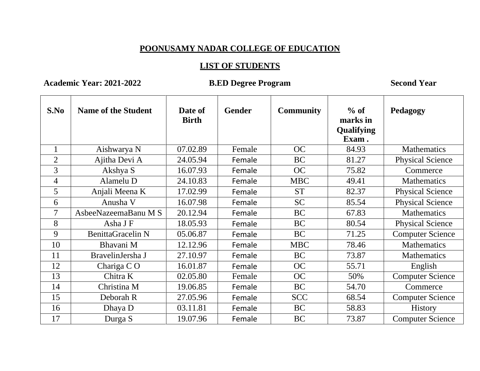## **POONUSAMY NADAR COLLEGE OF EDUCATION**

## **LIST OF STUDENTS**

**Academic Year: 2021-2022 B.ED Degree Program Second Year**

| S.No           | <b>Name of the Student</b> | Date of<br><b>Birth</b> | <b>Gender</b> | <b>Community</b> | $%$ of<br>marks in<br><b>Qualifying</b><br>Exam. | Pedagogy                |
|----------------|----------------------------|-------------------------|---------------|------------------|--------------------------------------------------|-------------------------|
| $\mathbf{1}$   | Aishwarya N                | 07.02.89                | Female        | <b>OC</b>        | 84.93                                            | <b>Mathematics</b>      |
| $\overline{2}$ | Ajitha Devi A              | 24.05.94                | Female        | <b>BC</b>        | 81.27                                            | <b>Physical Science</b> |
| 3              | Akshya S                   | 16.07.93                | Female        | <b>OC</b>        | 75.82                                            | Commerce                |
| $\overline{4}$ | Alamelu D                  | 24.10.83                | Female        | <b>MBC</b>       | 49.41                                            | <b>Mathematics</b>      |
| 5              | Anjali Meena K             | 17.02.99                | Female        | <b>ST</b>        | 82.37                                            | <b>Physical Science</b> |
| 6              | Anusha V                   | 16.07.98                | Female        | <b>SC</b>        | 85.54                                            | <b>Physical Science</b> |
| $\overline{7}$ | AsbeeNazeemaBanu M S       | 20.12.94                | Female        | <b>BC</b>        | 67.83                                            | <b>Mathematics</b>      |
| 8              | Asha J F                   | 18.05.93                | Female        | <b>BC</b>        | 80.54                                            | <b>Physical Science</b> |
| 9              | <b>BenittaGracelin N</b>   | 05.06.87                | Female        | <b>BC</b>        | 71.25                                            | <b>Computer Science</b> |
| 10             | Bhavani M                  | 12.12.96                | Female        | <b>MBC</b>       | 78.46                                            | <b>Mathematics</b>      |
| 11             | BravelinJersha J           | 27.10.97                | Female        | <b>BC</b>        | 73.87                                            | Mathematics             |
| 12             | Chariga $C$ O              | 16.01.87                | Female        | <b>OC</b>        | 55.71                                            | English                 |
| 13             | Chitra K                   | 02.05.80                | Female        | <b>OC</b>        | 50%                                              | <b>Computer Science</b> |
| 14             | Christina M                | 19.06.85                | Female        | <b>BC</b>        | 54.70                                            | Commerce                |
| 15             | Deborah R                  | 27.05.96                | Female        | <b>SCC</b>       | 68.54                                            | <b>Computer Science</b> |
| 16             | Dhaya D                    | 03.11.81                | Female        | <b>BC</b>        | 58.83                                            | <b>History</b>          |
| 17             | Durga S                    | 19.07.96                | Female        | <b>BC</b>        | 73.87                                            | <b>Computer Science</b> |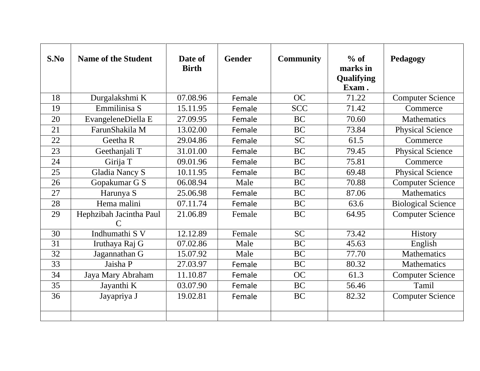| S.No | <b>Name of the Student</b>                             | Date of<br><b>Birth</b> | <b>Gender</b> | <b>Community</b> | $%$ of<br>marks in<br>Qualifying<br>Exam. | Pedagogy                  |
|------|--------------------------------------------------------|-------------------------|---------------|------------------|-------------------------------------------|---------------------------|
| 18   | Durgalakshmi K                                         | 07.08.96                | Female        | OC               | 71.22                                     | <b>Computer Science</b>   |
| 19   | Emmilinisa S                                           | 15.11.95                | Female        | <b>SCC</b>       | 71.42                                     | Commerce                  |
| 20   | EvangeleneDiella E                                     | 27.09.95                | Female        | <b>BC</b>        | 70.60                                     | <b>Mathematics</b>        |
| 21   | FarunShakila M                                         | 13.02.00                | Female        | <b>BC</b>        | 73.84                                     | <b>Physical Science</b>   |
| 22   | Geetha R                                               | 29.04.86                | Female        | <b>SC</b>        | 61.5                                      | Commerce                  |
| 23   | Geethanjali T                                          | 31.01.00                | Female        | <b>BC</b>        | 79.45                                     | <b>Physical Science</b>   |
| 24   | Girija T                                               | 09.01.96                | Female        | <b>BC</b>        | 75.81                                     | Commerce                  |
| 25   | <b>Gladia Nancy S</b>                                  | 10.11.95                | Female        | <b>BC</b>        | 69.48                                     | <b>Physical Science</b>   |
| 26   | Gopakumar G S                                          | 06.08.94                | Male          | <b>BC</b>        | 70.88                                     | <b>Computer Science</b>   |
| 27   | Harunya S                                              | 25.06.98                | Female        | <b>BC</b>        | 87.06                                     | <b>Mathematics</b>        |
| 28   | Hema malini                                            | 07.11.74                | Female        | <b>BC</b>        | 63.6                                      | <b>Biological Science</b> |
| 29   | Hephzibah Jacintha Paul<br>$\mathcal{C}_{\mathcal{C}}$ | 21.06.89                | Female        | <b>BC</b>        | 64.95                                     | <b>Computer Science</b>   |
| 30   | Indhumathi S V                                         | 12.12.89                | Female        | $\overline{SC}$  | $\overline{73.42}$                        | History                   |
| 31   | Iruthaya Raj G                                         | 07.02.86                | Male          | BC               | 45.63                                     | English                   |
| 32   | Jagannathan G                                          | 15.07.92                | Male          | <b>BC</b>        | 77.70                                     | <b>Mathematics</b>        |
| 33   | Jaisha P                                               | 27.03.97                | Female        | <b>BC</b>        | 80.32                                     | <b>Mathematics</b>        |
| 34   | Jaya Mary Abraham                                      | 11.10.87                | Female        | OC               | 61.3                                      | <b>Computer Science</b>   |
| 35   | Jayanthi K                                             | 03.07.90                | Female        | <b>BC</b>        | 56.46                                     | Tamil                     |
| 36   | Jayapriya J                                            | 19.02.81                | Female        | <b>BC</b>        | 82.32                                     | <b>Computer Science</b>   |
|      |                                                        |                         |               |                  |                                           |                           |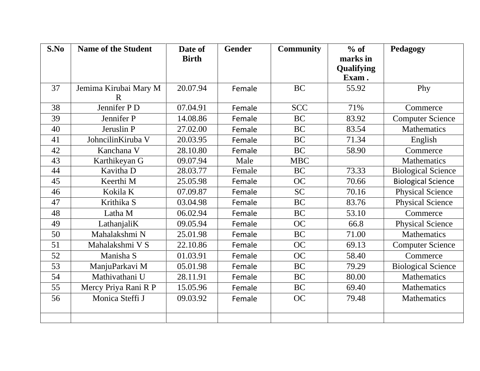| S.No            | <b>Name of the Student</b>           | Date of      | <b>Gender</b> | <b>Community</b> | $%$ of     | Pedagogy                  |
|-----------------|--------------------------------------|--------------|---------------|------------------|------------|---------------------------|
|                 |                                      | <b>Birth</b> |               |                  | marks in   |                           |
|                 |                                      |              |               |                  | Qualifying |                           |
|                 |                                      |              |               |                  | Exam.      |                           |
| 37              | Jemima Kirubai Mary M<br>$\mathbf R$ | 20.07.94     | Female        | <b>BC</b>        | 55.92      | Phy                       |
| 38              | Jennifer P D                         | 07.04.91     | Female        | <b>SCC</b>       | 71%        | Commerce                  |
| 39              | Jennifer P                           | 14.08.86     | Female        | <b>BC</b>        | 83.92      | <b>Computer Science</b>   |
| 40              | Jeruslin P                           | 27.02.00     | Female        | <b>BC</b>        | 83.54      | <b>Mathematics</b>        |
| 41              | JohncilinKiruba V                    | 20.03.95     | Female        | <b>BC</b>        | 71.34      | English                   |
| 42              | Kanchana V                           | 28.10.80     | Female        | <b>BC</b>        | 58.90      | Commerce                  |
| $\overline{43}$ | Karthikeyan G                        | 09.07.94     | Male          | <b>MBC</b>       |            | <b>Mathematics</b>        |
| 44              | Kavitha D                            | 28.03.77     | Female        | <b>BC</b>        | 73.33      | <b>Biological Science</b> |
| 45              | Keerthi M                            | 25.05.98     | Female        | <b>OC</b>        | 70.66      | <b>Biological Science</b> |
| 46              | Kokila K                             | 07.09.87     | Female        | <b>SC</b>        | 70.16      | <b>Physical Science</b>   |
| 47              | Krithika S                           | 03.04.98     | Female        | <b>BC</b>        | 83.76      | <b>Physical Science</b>   |
| 48              | Latha M                              | 06.02.94     | Female        | <b>BC</b>        | 53.10      | Commerce                  |
| 49              | LathanjaliK                          | 09.05.94     | Female        | <b>OC</b>        | 66.8       | <b>Physical Science</b>   |
| 50              | Mahalakshmi N                        | 25.01.98     | Female        | <b>BC</b>        | 71.00      | <b>Mathematics</b>        |
| 51              | Mahalakshmi V S                      | 22.10.86     | Female        | <b>OC</b>        | 69.13      | <b>Computer Science</b>   |
| 52              | Manisha S                            | 01.03.91     | Female        | <b>OC</b>        | 58.40      | Commerce                  |
| 53              | ManjuParkavi M                       | 05.01.98     | Female        | <b>BC</b>        | 79.29      | <b>Biological Science</b> |
| 54              | Mathivathani U                       | 28.11.91     | Female        | <b>BC</b>        | 80.00      | Mathematics               |
| 55              | Mercy Priya Rani R P                 | 15.05.96     | Female        | <b>BC</b>        | 69.40      | Mathematics               |
| 56              | Monica Steffi J                      | 09.03.92     | Female        | <b>OC</b>        | 79.48      | Mathematics               |
|                 |                                      |              |               |                  |            |                           |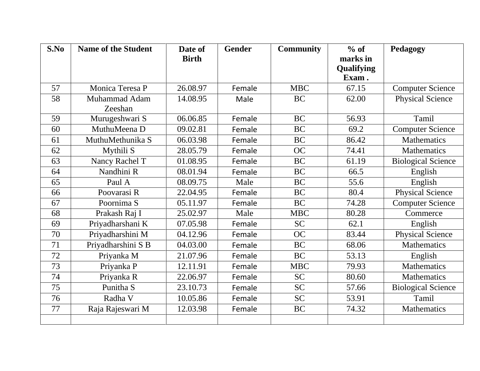| S.No | <b>Name of the Student</b> | Date of      | <b>Gender</b> | <b>Community</b> | $%$ of                 | Pedagogy                  |
|------|----------------------------|--------------|---------------|------------------|------------------------|---------------------------|
|      |                            | <b>Birth</b> |               |                  | marks in<br>Qualifying |                           |
|      |                            |              |               |                  | Exam.                  |                           |
| 57   | Monica Teresa P            | 26.08.97     | Female        | <b>MBC</b>       | 67.15                  | <b>Computer Science</b>   |
| 58   | Muhammad Adam              | 14.08.95     | Male          | <b>BC</b>        | 62.00                  | Physical Science          |
|      | Zeeshan                    |              |               |                  |                        |                           |
| 59   | Murugeshwari S             | 06.06.85     | Female        | <b>BC</b>        | 56.93                  | Tamil                     |
| 60   | MuthuMeena D               | 09.02.81     | Female        | <b>BC</b>        | 69.2                   | <b>Computer Science</b>   |
| 61   | MuthuMethunika S           | 06.03.98     | Female        | <b>BC</b>        | 86.42                  | Mathematics               |
| 62   | Mythili S                  | 28.05.79     | Female        | <b>OC</b>        | 74.41                  | <b>Mathematics</b>        |
| 63   | Nancy Rachel T             | 01.08.95     | Female        | <b>BC</b>        | 61.19                  | <b>Biological Science</b> |
| 64   | Nandhini R                 | 08.01.94     | Female        | <b>BC</b>        | 66.5                   | English                   |
| 65   | Paul A                     | 08.09.75     | Male          | <b>BC</b>        | 55.6                   | English                   |
| 66   | Poovarasi R                | 22.04.95     | Female        | <b>BC</b>        | 80.4                   | <b>Physical Science</b>   |
| 67   | Poornima S                 | 05.11.97     | Female        | <b>BC</b>        | 74.28                  | <b>Computer Science</b>   |
| 68   | Prakash Raj I              | 25.02.97     | Male          | $MB\overline{C}$ | 80.28                  | Commerce                  |
| 69   | Priyadharshani K           | 07.05.98     | Female        | <b>SC</b>        | 62.1                   | English                   |
| 70   | Priyadharshini M           | 04.12.96     | Female        | <b>OC</b>        | 83.44                  | <b>Physical Science</b>   |
| 71   | Priyadharshini S B         | 04.03.00     | Female        | <b>BC</b>        | 68.06                  | <b>Mathematics</b>        |
| 72   | Priyanka M                 | 21.07.96     | Female        | <b>BC</b>        | 53.13                  | English                   |
| 73   | Priyanka P                 | 12.11.91     | Female        | <b>MBC</b>       | 79.93                  | <b>Mathematics</b>        |
| 74   | Priyanka R                 | 22.06.97     | Female        | <b>SC</b>        | 80.60                  | <b>Mathematics</b>        |
| 75   | Punitha S                  | 23.10.73     | Female        | <b>SC</b>        | 57.66                  | <b>Biological Science</b> |
| 76   | Radha V                    | 10.05.86     | Female        | SC               | 53.91                  | Tamil                     |
| 77   | Raja Rajeswari M           | 12.03.98     | Female        | <b>BC</b>        | 74.32                  | <b>Mathematics</b>        |
|      |                            |              |               |                  |                        |                           |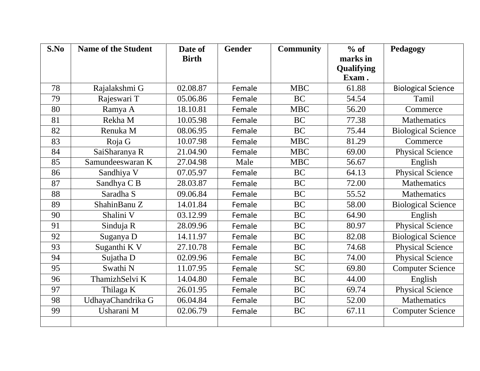| S.No | <b>Name of the Student</b> | Date of      | <b>Gender</b> | <b>Community</b> | $%$ of     | Pedagogy                  |
|------|----------------------------|--------------|---------------|------------------|------------|---------------------------|
|      |                            | <b>Birth</b> |               |                  | marks in   |                           |
|      |                            |              |               |                  | Qualifying |                           |
|      |                            |              |               |                  | Exam.      |                           |
| 78   | Rajalakshmi G              | 02.08.87     | Female        | <b>MBC</b>       | 61.88      | <b>Biological Science</b> |
| 79   | Rajeswari T                | 05.06.86     | Female        | <b>BC</b>        | 54.54      | Tamil                     |
| 80   | Ramya A                    | 18.10.81     | Female        | <b>MBC</b>       | 56.20      | Commerce                  |
| 81   | Rekha M                    | 10.05.98     | Female        | <b>BC</b>        | 77.38      | <b>Mathematics</b>        |
| 82   | Renuka M                   | 08.06.95     | Female        | <b>BC</b>        | 75.44      | <b>Biological Science</b> |
| 83   | Roja G                     | 10.07.98     | Female        | <b>MBC</b>       | 81.29      | Commerce                  |
| 84   | SaiSharanya R              | 21.04.90     | Female        | <b>MBC</b>       | 69.00      | <b>Physical Science</b>   |
| 85   | Samundeeswaran K           | 27.04.98     | Male          | MBC              | 56.67      | English                   |
| 86   | Sandhiya V                 | 07.05.97     | Female        | <b>BC</b>        | 64.13      | <b>Physical Science</b>   |
| 87   | Sandhya C B                | 28.03.87     | Female        | <b>BC</b>        | 72.00      | <b>Mathematics</b>        |
| 88   | Saradha S                  | 09.06.84     | Female        | <b>BC</b>        | 55.52      | <b>Mathematics</b>        |
| 89   | ShahinBanu Z               | 14.01.84     | Female        | <b>BC</b>        | 58.00      | <b>Biological Science</b> |
| 90   | Shalini V                  | 03.12.99     | Female        | <b>BC</b>        | 64.90      | English                   |
| 91   | Sinduja R                  | 28.09.96     | Female        | <b>BC</b>        | 80.97      | <b>Physical Science</b>   |
| 92   | Suganya D                  | 14.11.97     | Female        | <b>BC</b>        | 82.08      | <b>Biological Science</b> |
| 93   | Suganthi K V               | 27.10.78     | Female        | <b>BC</b>        | 74.68      | <b>Physical Science</b>   |
| 94   | Sujatha D                  | 02.09.96     | Female        | <b>BC</b>        | 74.00      | <b>Physical Science</b>   |
| 95   | Swathi N                   | 11.07.95     | Female        | <b>SC</b>        | 69.80      | <b>Computer Science</b>   |
| 96   | ThamizhSelvi K             | 14.04.80     | Female        | <b>BC</b>        | 44.00      | English                   |
| 97   | Thilaga K                  | 26.01.95     | Female        | <b>BC</b>        | 69.74      | <b>Physical Science</b>   |
| 98   | UdhayaChandrika G          | 06.04.84     | Female        | <b>BC</b>        | 52.00      | Mathematics               |
| 99   | Usharani M                 | 02.06.79     | Female        | <b>BC</b>        | 67.11      | <b>Computer Science</b>   |
|      |                            |              |               |                  |            |                           |